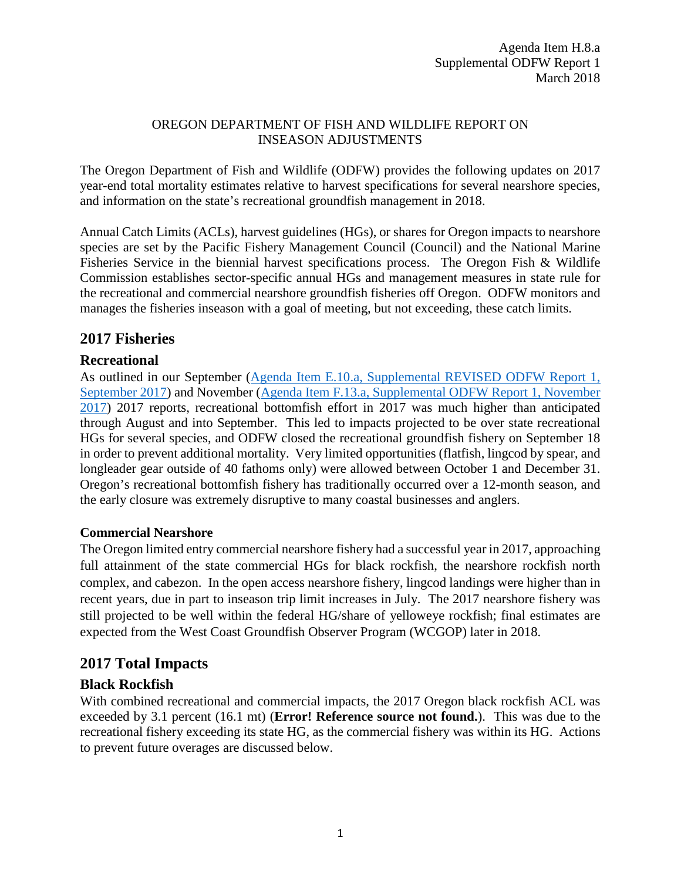#### OREGON DEPARTMENT OF FISH AND WILDLIFE REPORT ON INSEASON ADJUSTMENTS

The Oregon Department of Fish and Wildlife (ODFW) provides the following updates on 2017 year-end total mortality estimates relative to harvest specifications for several nearshore species, and information on the state's recreational groundfish management in 2018.

Annual Catch Limits (ACLs), harvest guidelines (HGs), or shares for Oregon impacts to nearshore species are set by the Pacific Fishery Management Council (Council) and the National Marine Fisheries Service in the biennial harvest specifications process. The Oregon Fish & Wildlife Commission establishes sector-specific annual HGs and management measures in state rule for the recreational and commercial nearshore groundfish fisheries off Oregon. ODFW monitors and manages the fisheries inseason with a goal of meeting, but not exceeding, these catch limits.

# **2017 Fisheries**

# **Recreational**

As outlined in our September [\(Agenda Item E.10.a, Supplemental REVISED ODFW Report 1,](http://www.pcouncil.org/wp-content/uploads/2017/09/E10a_Sup_REVISED_ODFW_Rpt1_SEPT2017BB.pdf)  [September 2017\)](http://www.pcouncil.org/wp-content/uploads/2017/09/E10a_Sup_REVISED_ODFW_Rpt1_SEPT2017BB.pdf) and November [\(Agenda Item F.13.a, Supplemental ODFW Report 1, November](https://www.pcouncil.org/wp-content/uploads/2017/11/F13a_Sup_ODFW_Rpt1_Inseason-final_NOV2017BB.pdf)  [2017\)](https://www.pcouncil.org/wp-content/uploads/2017/11/F13a_Sup_ODFW_Rpt1_Inseason-final_NOV2017BB.pdf) 2017 reports, recreational bottomfish effort in 2017 was much higher than anticipated through August and into September. This led to impacts projected to be over state recreational HGs for several species, and ODFW closed the recreational groundfish fishery on September 18 in order to prevent additional mortality. Very limited opportunities (flatfish, lingcod by spear, and longleader gear outside of 40 fathoms only) were allowed between October 1 and December 31. Oregon's recreational bottomfish fishery has traditionally occurred over a 12-month season, and the early closure was extremely disruptive to many coastal businesses and anglers.

# **Commercial Nearshore**

The Oregon limited entry commercial nearshore fishery had a successful year in 2017, approaching full attainment of the state commercial HGs for black rockfish, the nearshore rockfish north complex, and cabezon. In the open access nearshore fishery, lingcod landings were higher than in recent years, due in part to inseason trip limit increases in July. The 2017 nearshore fishery was still projected to be well within the federal HG/share of yelloweye rockfish; final estimates are expected from the West Coast Groundfish Observer Program (WCGOP) later in 2018.

# **2017 Total Impacts**

# **Black Rockfish**

With combined recreational and commercial impacts, the 2017 Oregon black rockfish ACL was exceeded by 3.1 percent (16.1 mt) (**Error! Reference source not found.**). This was due to the recreational fishery exceeding its state HG, as the commercial fishery was within its HG. Actions to prevent future overages are discussed below.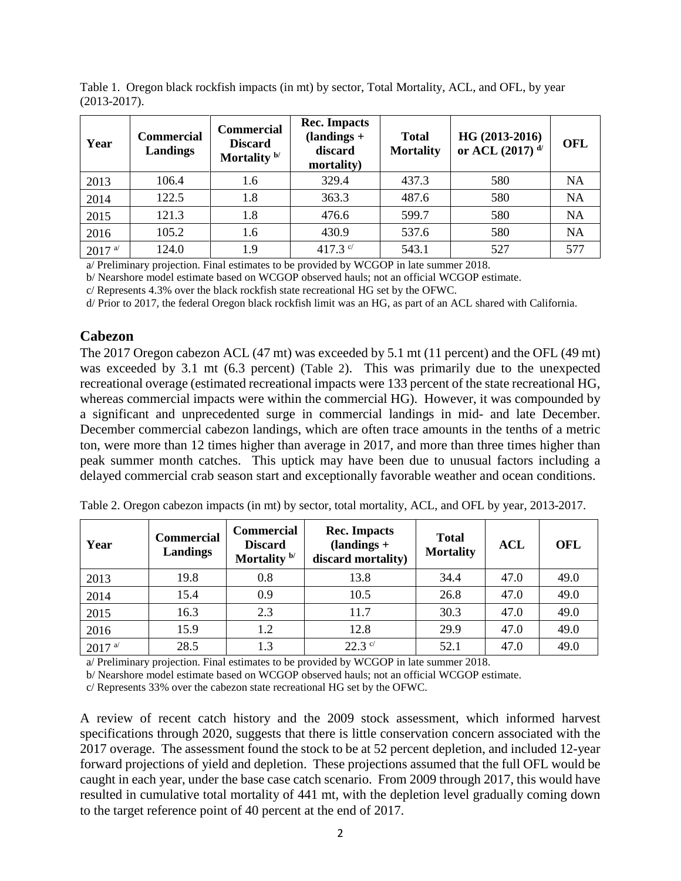| Year      | <b>Commercial</b><br>Landings | <b>Commercial</b><br><b>Discard</b><br>Mortality $b/$ | <b>Rec. Impacts</b><br>$(landings +$<br>discard<br>mortality) | <b>Total</b><br><b>Mortality</b> | HG (2013-2016)<br>or ACL $(2017)^{d/2}$ | <b>OFL</b> |
|-----------|-------------------------------|-------------------------------------------------------|---------------------------------------------------------------|----------------------------------|-----------------------------------------|------------|
| 2013      | 106.4                         | 1.6                                                   | 329.4                                                         | 437.3                            | 580                                     | <b>NA</b>  |
| 2014      | 122.5                         | 1.8                                                   | 363.3                                                         | 487.6                            | 580                                     | <b>NA</b>  |
| 2015      | 121.3                         | 1.8                                                   | 476.6                                                         | 599.7                            | 580                                     | <b>NA</b>  |
| 2016      | 105.2                         | 1.6                                                   | 430.9                                                         | 537.6                            | 580                                     | <b>NA</b>  |
| $2017$ a/ | 124.0                         | 1.9                                                   | 417.3 $\degree$                                               | 543.1                            | 527                                     | 577        |

Table 1. Oregon black rockfish impacts (in mt) by sector, Total Mortality, ACL, and OFL, by year (2013-2017).

a/ Preliminary projection. Final estimates to be provided by WCGOP in late summer 2018.

b/ Nearshore model estimate based on WCGOP observed hauls; not an official WCGOP estimate.

c/ Represents 4.3% over the black rockfish state recreational HG set by the OFWC.

d/ Prior to 2017, the federal Oregon black rockfish limit was an HG, as part of an ACL shared with California.

#### **Cabezon**

The 2017 Oregon cabezon ACL (47 mt) was exceeded by 5.1 mt (11 percent) and the OFL (49 mt) was exceeded by 3.1 mt (6.3 percent) [\(Table 2\)](#page-1-0). This was primarily due to the unexpected recreational overage (estimated recreational impacts were 133 percent of the state recreational HG, whereas commercial impacts were within the commercial HG). However, it was compounded by a significant and unprecedented surge in commercial landings in mid- and late December. December commercial cabezon landings, which are often trace amounts in the tenths of a metric ton, were more than 12 times higher than average in 2017, and more than three times higher than peak summer month catches. This uptick may have been due to unusual factors including a delayed commercial crab season start and exceptionally favorable weather and ocean conditions.

| Year      | <b>Commercial</b><br>Landings | <b>Commercial</b><br><b>Discard</b><br>Mortality $b/$ | <b>Rec. Impacts</b><br>$\lambda$ (landings +<br>discard mortality) | <b>Total</b><br><b>Mortality</b> | <b>ACL</b> | <b>OFL</b> |
|-----------|-------------------------------|-------------------------------------------------------|--------------------------------------------------------------------|----------------------------------|------------|------------|
| 2013      | 19.8                          | 0.8                                                   | 13.8                                                               | 34.4                             | 47.0       | 49.0       |
| 2014      | 15.4                          | 0.9                                                   | 10.5                                                               | 26.8                             | 47.0       | 49.0       |
| 2015      | 16.3                          | 2.3                                                   | 11.7                                                               | 30.3                             | 47.0       | 49.0       |
| 2016      | 15.9                          | 1.2                                                   | 12.8                                                               | 29.9                             | 47.0       | 49.0       |
| $2017$ a/ | 28.5                          | 1.3                                                   | $22.3$ c/                                                          | 52.1                             | 47.0       | 49.0       |

<span id="page-1-0"></span>Table 2. Oregon cabezon impacts (in mt) by sector, total mortality, ACL, and OFL by year, 2013-2017.

a/ Preliminary projection. Final estimates to be provided by WCGOP in late summer 2018.

b/ Nearshore model estimate based on WCGOP observed hauls; not an official WCGOP estimate.

c/ Represents 33% over the cabezon state recreational HG set by the OFWC.

A review of recent catch history and the 2009 stock assessment, which informed harvest specifications through 2020, suggests that there is little conservation concern associated with the 2017 overage. The assessment found the stock to be at 52 percent depletion, and included 12-year forward projections of yield and depletion. These projections assumed that the full OFL would be caught in each year, under the base case catch scenario. From 2009 through 2017, this would have resulted in cumulative total mortality of 441 mt, with the depletion level gradually coming down to the target reference point of 40 percent at the end of 2017.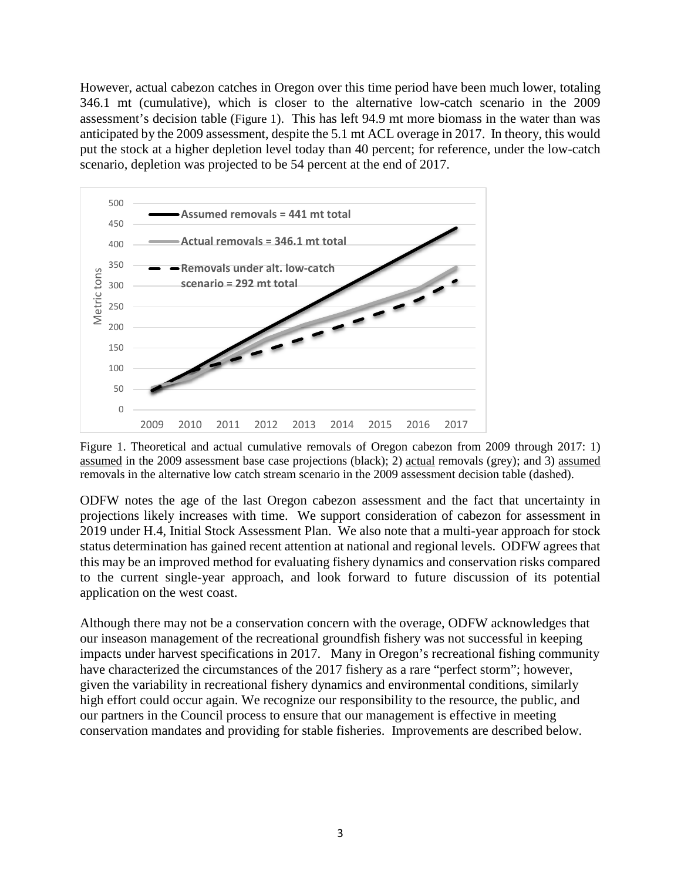However, actual cabezon catches in Oregon over this time period have been much lower, totaling 346.1 mt (cumulative), which is closer to the alternative low-catch scenario in the 2009 assessment's decision table [\(Figure 1\)](#page-2-0). This has left 94.9 mt more biomass in the water than was anticipated by the 2009 assessment, despite the 5.1 mt ACL overage in 2017. In theory, this would put the stock at a higher depletion level today than 40 percent; for reference, under the low-catch scenario, depletion was projected to be 54 percent at the end of 2017.



<span id="page-2-0"></span>Figure 1. Theoretical and actual cumulative removals of Oregon cabezon from 2009 through 2017: 1) assumed in the 2009 assessment base case projections (black); 2) actual removals (grey); and 3) assumed removals in the alternative low catch stream scenario in the 2009 assessment decision table (dashed).

ODFW notes the age of the last Oregon cabezon assessment and the fact that uncertainty in projections likely increases with time. We support consideration of cabezon for assessment in 2019 under H.4, Initial Stock Assessment Plan. We also note that a multi-year approach for stock status determination has gained recent attention at national and regional levels. ODFW agrees that this may be an improved method for evaluating fishery dynamics and conservation risks compared to the current single-year approach, and look forward to future discussion of its potential application on the west coast.

Although there may not be a conservation concern with the overage, ODFW acknowledges that our inseason management of the recreational groundfish fishery was not successful in keeping impacts under harvest specifications in 2017. Many in Oregon's recreational fishing community have characterized the circumstances of the 2017 fishery as a rare "perfect storm"; however, given the variability in recreational fishery dynamics and environmental conditions, similarly high effort could occur again. We recognize our responsibility to the resource, the public, and our partners in the Council process to ensure that our management is effective in meeting conservation mandates and providing for stable fisheries. Improvements are described below.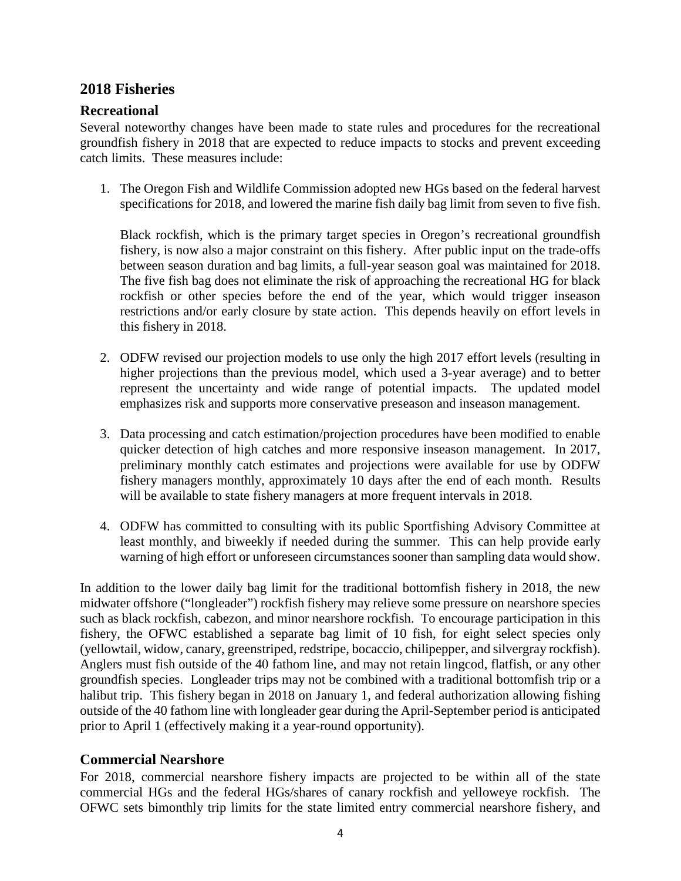# **2018 Fisheries**

#### **Recreational**

Several noteworthy changes have been made to state rules and procedures for the recreational groundfish fishery in 2018 that are expected to reduce impacts to stocks and prevent exceeding catch limits. These measures include:

1. The Oregon Fish and Wildlife Commission adopted new HGs based on the federal harvest specifications for 2018, and lowered the marine fish daily bag limit from seven to five fish.

Black rockfish, which is the primary target species in Oregon's recreational groundfish fishery, is now also a major constraint on this fishery. After public input on the trade-offs between season duration and bag limits, a full-year season goal was maintained for 2018. The five fish bag does not eliminate the risk of approaching the recreational HG for black rockfish or other species before the end of the year, which would trigger inseason restrictions and/or early closure by state action. This depends heavily on effort levels in this fishery in 2018.

- 2. ODFW revised our projection models to use only the high 2017 effort levels (resulting in higher projections than the previous model, which used a 3-year average) and to better represent the uncertainty and wide range of potential impacts. The updated model emphasizes risk and supports more conservative preseason and inseason management.
- 3. Data processing and catch estimation/projection procedures have been modified to enable quicker detection of high catches and more responsive inseason management. In 2017, preliminary monthly catch estimates and projections were available for use by ODFW fishery managers monthly, approximately 10 days after the end of each month. Results will be available to state fishery managers at more frequent intervals in 2018.
- 4. ODFW has committed to consulting with its public Sportfishing Advisory Committee at least monthly, and biweekly if needed during the summer. This can help provide early warning of high effort or unforeseen circumstances sooner than sampling data would show.

In addition to the lower daily bag limit for the traditional bottomfish fishery in 2018, the new midwater offshore ("longleader") rockfish fishery may relieve some pressure on nearshore species such as black rockfish, cabezon, and minor nearshore rockfish. To encourage participation in this fishery, the OFWC established a separate bag limit of 10 fish, for eight select species only (yellowtail, widow, canary, greenstriped, redstripe, bocaccio, chilipepper, and silvergray rockfish). Anglers must fish outside of the 40 fathom line, and may not retain lingcod, flatfish, or any other groundfish species. Longleader trips may not be combined with a traditional bottomfish trip or a halibut trip. This fishery began in 2018 on January 1, and federal authorization allowing fishing outside of the 40 fathom line with longleader gear during the April-September period is anticipated prior to April 1 (effectively making it a year-round opportunity).

#### **Commercial Nearshore**

For 2018, commercial nearshore fishery impacts are projected to be within all of the state commercial HGs and the federal HGs/shares of canary rockfish and yelloweye rockfish. The OFWC sets bimonthly trip limits for the state limited entry commercial nearshore fishery, and